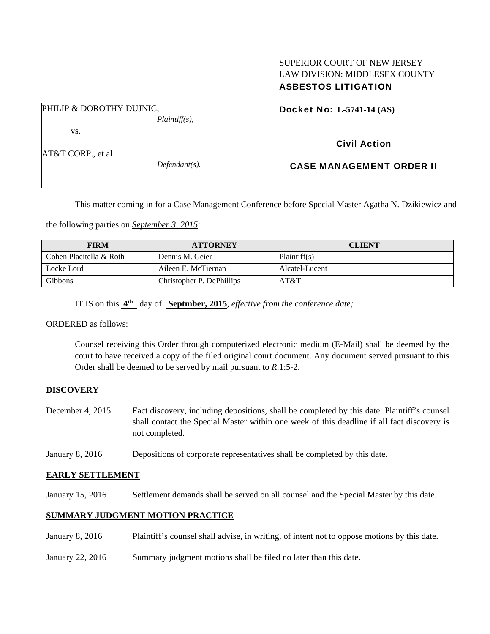### SUPERIOR COURT OF NEW JERSEY LAW DIVISION: MIDDLESEX COUNTY ASBESTOS LITIGATION

PHILIP & DOROTHY DUJNIC, *Plaintiff(s),* 

vs.

AT&T CORP., et al

*Defendant(s).* 

Docket No: **L-5741-14 (AS)** 

# Civil Action

# CASE MANAGEMENT ORDER II

This matter coming in for a Case Management Conference before Special Master Agatha N. Dzikiewicz and

the following parties on *September 3, 2015*:

| <b>FIRM</b>             | <b>ATTORNEY</b>           | <b>CLIENT</b>  |
|-------------------------|---------------------------|----------------|
| Cohen Placitella & Roth | Dennis M. Geier           | Plaintiff(s)   |
| Locke Lord              | Aileen E. McTiernan       | Alcatel-Lucent |
| Gibbons                 | Christopher P. DePhillips | AT&T           |

IT IS on this **4th** day of **Septmber, 2015**, *effective from the conference date;*

ORDERED as follows:

Counsel receiving this Order through computerized electronic medium (E-Mail) shall be deemed by the court to have received a copy of the filed original court document. Any document served pursuant to this Order shall be deemed to be served by mail pursuant to *R*.1:5-2.

## **DISCOVERY**

- December 4, 2015 Fact discovery, including depositions, shall be completed by this date. Plaintiff's counsel shall contact the Special Master within one week of this deadline if all fact discovery is not completed.
- January 8, 2016 Depositions of corporate representatives shall be completed by this date.

## **EARLY SETTLEMENT**

January 15, 2016 Settlement demands shall be served on all counsel and the Special Master by this date.

### **SUMMARY JUDGMENT MOTION PRACTICE**

- January 8, 2016 Plaintiff's counsel shall advise, in writing, of intent not to oppose motions by this date.
- January 22, 2016 Summary judgment motions shall be filed no later than this date.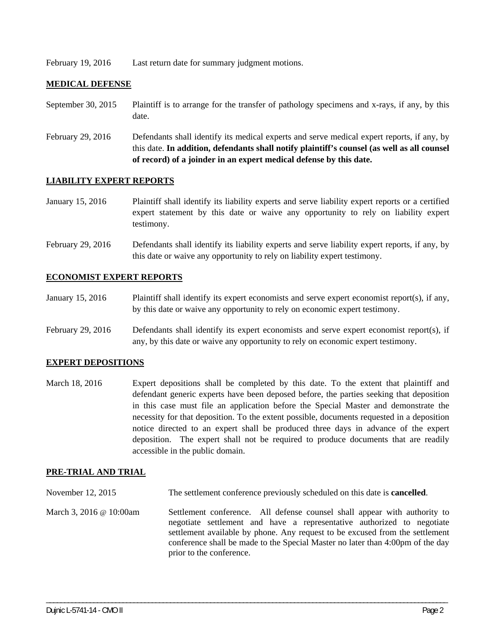February 19, 2016 Last return date for summary judgment motions.

#### **MEDICAL DEFENSE**

- September 30, 2015 Plaintiff is to arrange for the transfer of pathology specimens and x-rays, if any, by this date.
- February 29, 2016 Defendants shall identify its medical experts and serve medical expert reports, if any, by this date. **In addition, defendants shall notify plaintiff's counsel (as well as all counsel of record) of a joinder in an expert medical defense by this date.**

#### **LIABILITY EXPERT REPORTS**

- January 15, 2016 Plaintiff shall identify its liability experts and serve liability expert reports or a certified expert statement by this date or waive any opportunity to rely on liability expert testimony.
- February 29, 2016 Defendants shall identify its liability experts and serve liability expert reports, if any, by this date or waive any opportunity to rely on liability expert testimony.

#### **ECONOMIST EXPERT REPORTS**

- January 15, 2016 Plaintiff shall identify its expert economists and serve expert economist report(s), if any, by this date or waive any opportunity to rely on economic expert testimony.
- February 29, 2016 Defendants shall identify its expert economists and serve expert economist report(s), if any, by this date or waive any opportunity to rely on economic expert testimony.

#### **EXPERT DEPOSITIONS**

March 18, 2016 Expert depositions shall be completed by this date. To the extent that plaintiff and defendant generic experts have been deposed before, the parties seeking that deposition in this case must file an application before the Special Master and demonstrate the necessity for that deposition. To the extent possible, documents requested in a deposition notice directed to an expert shall be produced three days in advance of the expert deposition. The expert shall not be required to produce documents that are readily accessible in the public domain.

#### **PRE-TRIAL AND TRIAL**

- November 12, 2015 The settlement conference previously scheduled on this date is **cancelled**.
- March 3, 2016 @ 10:00am Settlement conference. All defense counsel shall appear with authority to negotiate settlement and have a representative authorized to negotiate settlement available by phone. Any request to be excused from the settlement conference shall be made to the Special Master no later than 4:00pm of the day prior to the conference.

\_\_\_\_\_\_\_\_\_\_\_\_\_\_\_\_\_\_\_\_\_\_\_\_\_\_\_\_\_\_\_\_\_\_\_\_\_\_\_\_\_\_\_\_\_\_\_\_\_\_\_\_\_\_\_\_\_\_\_\_\_\_\_\_\_\_\_\_\_\_\_\_\_\_\_\_\_\_\_\_\_\_\_\_\_\_\_\_\_\_\_\_\_\_\_\_\_\_\_\_\_\_\_\_\_\_\_\_\_\_